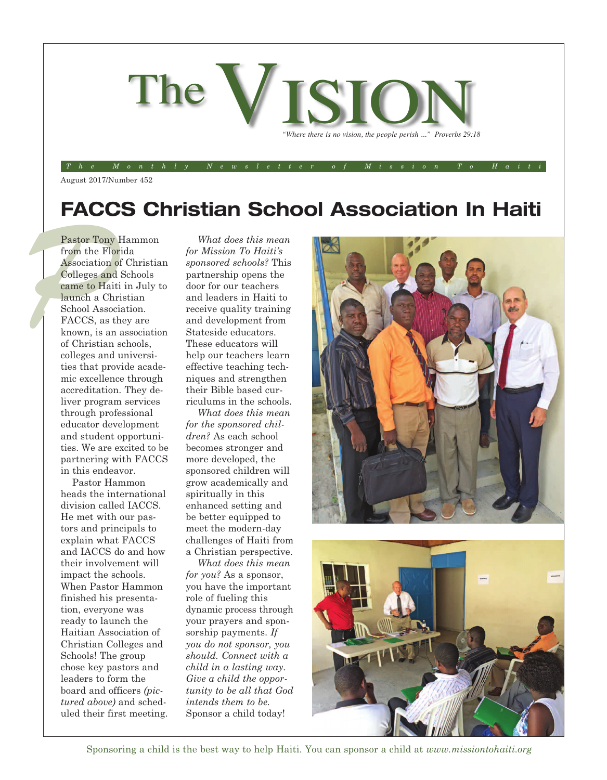

August 2017/Number 452

### **FACCS Christian School Association In Haiti**

The Monthly Newsletter of Mission To Haiti

Pastor Tony I<br>from the Flor<br>Association of<br>Colleges and<br>came to Haiti<br>launch a Chr:<br>School Associ<br>FACCS, as th Pastor Tony Hammon from the Florida Association of Christian Colleges and Schools came to Haiti in July to launch a Christian School Association. FACCS, as they are known, is an association of Christian schools, colleges and universities that provide academic excellence through accreditation. They deliver program services through professional educator development and student opportunities. We are excited to be partnering with FACCS in this endeavor.

Pastor Hammon heads the international division called IACCS. He met with our pastors and principals to explain what FACCS and IACCS do and how their involvement will impact the schools. When Pastor Hammon finished his presentation, everyone was ready to launch the Haitian Association of Christian Colleges and Schools! The group chose key pastors and leaders to form the board and officers *(pictured above)* and scheduled their first meeting.

*What does this mean for Mission To Haiti's sponsored schools?* This partnership opens the door for our teachers and leaders in Haiti to receive quality training and development from Stateside educators. These educators will help our teachers learn effective teaching techniques and strengthen their Bible based curriculums in the schools.

*What does this mean for the sponsored children?* As each school becomes stronger and more developed, the sponsored children will grow academically and spiritually in this enhanced setting and be better equipped to meet the modern-day challenges of Haiti from a Christian perspective.

*What does this mean for you?* As a sponsor, you have the important role of fueling this dynamic process through your prayers and sponsorship payments. *If you do not sponsor, you should. Connect with a child in a lasting way. Give a child the opportunity to be all that God intends them to be.* Sponsor a child today!